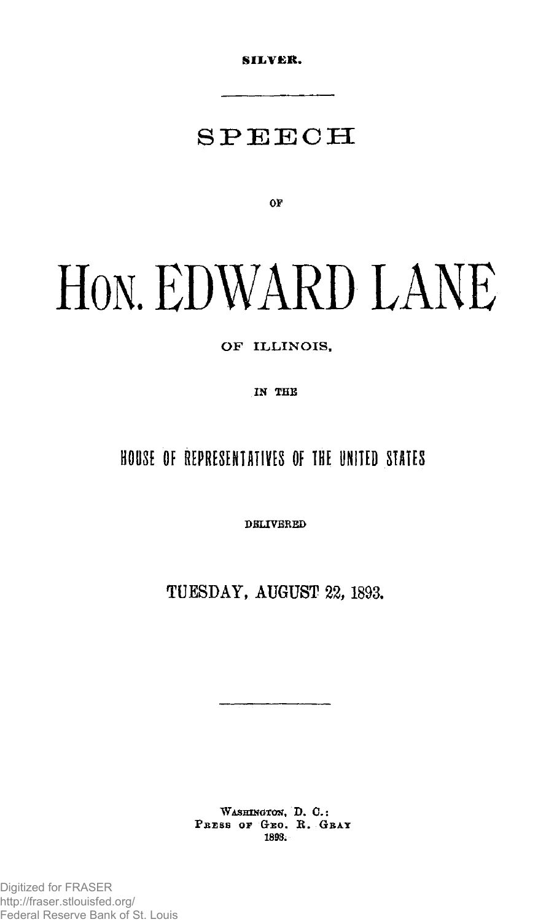**SILVER.** 

# SPEEC H

**OF** 

# **H**ON**. EDWARD LANE**

### **O F ILLINOIS ,**

**IN THE** 

## HOUSE OF REPRESENTATIVES OF THE UNITED STATES

**DELIVERED** 

TUESDAY, AUGUST 22, 1893.

**WASHINGTON, D. C.:**  PRESS OF GEO. R. GBAY **1893.**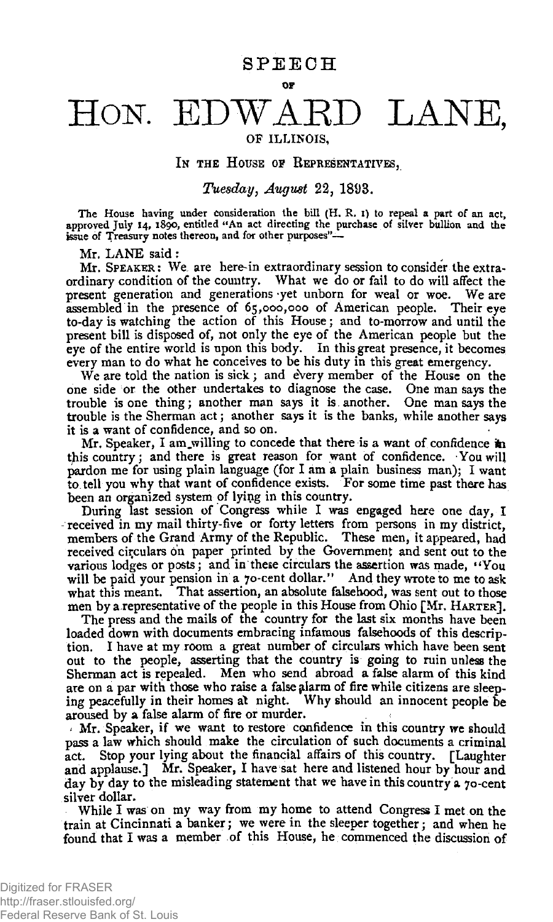# HON. EDWARD LANE,

#### OF ILLINOIS , The ILLINOIS IN THE HOUSE OF REPRESENTATIVES,

**IN THE HOUSE OP REPRESENTATIVES,**  *Tuesday, August* **22, 1893.** 

The House having under consideration the bill (H. R. I) to repeal a part of an act, approved July 14, 1890, entitled "An act directing the purchase of silver bullion and the issue of Treasury notes thereon, and for other purposes"—

Mr. LANE said :

Mr. SPEAKER: We are herein extraordinary session to consider the extraordinary condition of the country. What we do or fail to do will affect the present generation and generations yet unborn for weal or woe. We are assembled in the presence of 65,000,000 of American people. Their eye to-day is watching the action of this House; and to-morrow and until the present bill is disposed of, not only the eye of the American people but the eye of the entire world is upon this body. In this great presence, it becomes every man to do what he conceives to be his duty in this great emergency.

We are told the nation is sick; and every member of the House on the one side or the other undertakes to diagnose the case. One man says the trouble is one thing; another man says it is another. One man says the trouble is the Sherman act; another says it is the banks, while another says it is a want of confidence, and so on.

Mr. Speaker, I am willing to concede that there is a want of confidence in this country; and there is great reason for want of confidence. You will pardon me for using plain language (for I am a plain business man); I want to tell you why that want of confidence exists. For some time past there has been an organized system of lying in this country.

During last session of Congress while I was engaged here one day, I received in my mail thirty-five or forty letters from persons in my district, members of the Grand Army of the Republic. These men, it appeared, had received circulars on paper printed by the Government and sent out to the various lodges or posts; and in these circulars the assertion was made, "You will be paid your pension in a 70-cent dollar.'' And they wrote to me to ask what this meant. That assertion, an absolute falsehood, was sent out to those men by a representative of the people in this House from Ohio [Mr. HARTER],

The press and the mails of the country for the last six months have been loaded down with documents embracing infamous falsehoods of this description. I have at my room a great number of circulars which have been sent out to the people, asserting that the country is going to ruin unless the Sherman act is repealed. Men who send abroad a false alarm of this kind are on a par with those who raise a false alarm of fire while citizens are sleeping peacefully in their homes at night. Why should an innocent people be aroused by a false alarm of fire or murder.

 $\Lambda$  Mr. Speaker, if we want to restore confidence in this country we should pass a law which should make the circulation of such documents a criminal act. Stop your lying about the financial affairs of this country. [Laughter and applause.] Mr. Speaker, I have sat here and listened hour by hour and day by day to the misleading statement that we have in this country a 70-cent silver dollar.

While I was on my way from my home to attend Congress I met on the train at Cincinnati a banker; we were in the sleeper together; and when he found that I was a member of this House, he commenced the discussion of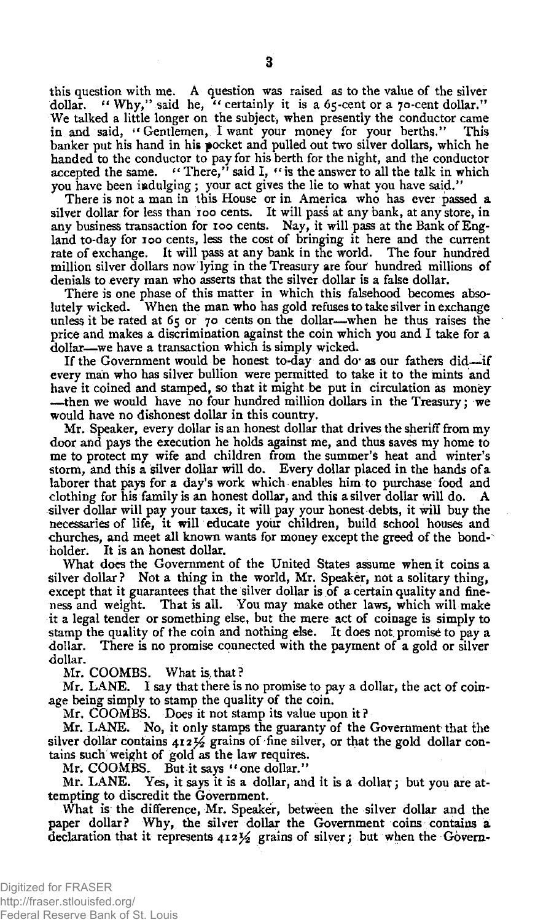this question with me. A question was raised as to the value of the silver dollar. " Why," said he, " certainly it is a  $65$ -cent or a  $70$ -cent dollar." We talked a little longer on the subject, when presently the conductor came in and said, "Gentlemen, I want your money for your berths." This banker put his hand in his pocket and pulled out two silver dollars, which he handed to the conductor to pay for his berth for the night, and the conductor accepted the same. "There," said 1, " is the answer to all the talk in which you have been indulging ; your act gives the lie to what you have said."

There is not a man in this House or in America who has ever passed a silver dollar for less than 100 cents. It will pass at any bank, at any store, in any business transaction for 100 cents. Nay, it will pass at the Bank of England to-day for 100 cents, less the cost of bringing it here and the current rate of exchange. It will pass at any bank in the world. The four hundred million silver dollars now lying in the Treasury are four hundred millions of denials to every man who asserts that the silver dollar is a false dollar.

There is one phase of this matter in which this falsehood becomes abso-<br>lutely wicked. When the man who has gold refuses to take silver in exchange When the man who has gold refuses to take silver in exchange unless it be rated at 65 or 70 cents on the dollar—when he thus raises the price and makes a discrimination against the coin which you and I take for a dollar—we have a transaction which is simply wicked.

If the Government would be honest to-day and do as our fathers did—if every man who has silver bullion were permitted to take it to the mints and have it coined and stamped, so that it might be put in circulation as money —then we would have no four hundred million dollars in the Treasury; we would have no dishonest dollar in this country.

Mr. Speaker, every dollar is an honest dollar that drives the sheriff from my door and pays the execution he holds against me, and thus saves my home to me to protect my wife and children from the summer's heat and winter's storm, and this a silver dollar will do. Every dollar placed in the hands of a laborer that pays for a day's work which enables him to purchase food and clothing for his family is an honest dollar, and this a silver dollar will do. A silver dollar will pay your taxes, it will pay your honest debts, it will buy the necessaries of life, it will educate your children, build school houses and churches, and meet all known wants for money except the greed of the bond-" holder. It is an honest dollar.

What does the Government of the United States assume when it coins a silver dollar? Not a thing in the world, Mr. Speaker, not a solitary thing, except that it guarantees that the silver dollar is of a certain quality and fineness and weight. That is all. You may make other laws, which will make it a legal tender or something else, but the mere act of coinage is simply to stamp the quality of the coin and nothing else. It does not promise to pay a dollar. There is no promise connected with the payment of a gold or silver dollar.

Mr. COOMBS. What is, that ?

Mr. LANE. I say that there is no promise to pay a dollar, the act of coinage being simply to stamp the quality of the coin.

Mr. COOMBS. Does it not stamp its value upon it?

Mr. LANE. No, it only stamps the guaranty of the Government that the silver dollar contains  $412 \frac{1}{2}$  grains of fine silver, or that the gold dollar contains such weight of gold as the law requires.

Mr. COOMBS. But it says " one dollar."

Mr. LANE. Yes, it says it is a dollar, and it is a dollar; but you are attempting to discredit the Government.

What is the difference, Mr. Speaker, between the silver dollar and the paper dollar? Why, the silver dollar the Government coins contains a declaration that it represents  $412\frac{1}{2}$  grains of silver; but when the Govern-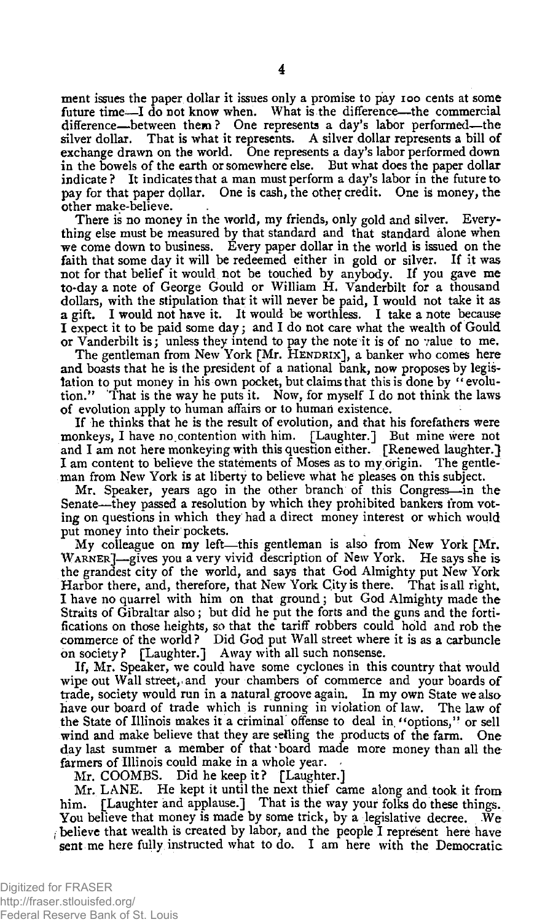ment issues the paper dollar it issues only a promise to pay 100 cents at some future time—I do not know when. What is the difference—the commercial difference—between them? One represents a day's labor performed—the silver dollar. That is what it represents. A silver dollar represents a bill of exchange drawn on the world. One represents a day's labor performed down in the bowels of the earth or somewhere else. But what does the paper dollar indicate? It indicates that a man must perform a day's labor in the future to pay for that paper dollar. One is cash, the other credit. One is money, the other make-believe.

There is no money in the world, my friends, only gold and silver. Everything else must be measured by that standard and that standard alone when we come down to business. Every paper dollar in the world is issued on the faith that some day it will be redeemed either in gold or silver. If it was not for that belief it would not be touched by anybody. If you gave me to-day a note of George Gould or William H. Vanderbilt for a thousand dollars, with the stipulation that it will never be paid, I would not take it as a gift. I would not have it. It would be worthless. I take a note because I expect it to be paid some day; and I do not care what the wealth of Gould or Vanderbilt is; unless they intend to pay the note^it is of no value to me.

The gentleman from New York [Mr. HENDRIX], a banker who comes here and boasts that he is the president of a national bank, now proposes by legislation to put money in his own pocket, but claims that this is done by "evolution." That is the way he puts it. Now, for myself I do not think the laws of evolution apply to human affairs or to human existence.

If he thinks that he is the result of evolution, and that his forefathers were monkeys, I have no.contention with him. [Laughter.] But mine were not and I am not here monkeying with this question either. [Renewed laughter.} I am content to believe the statements of Moses as to my origin. The gentleman from New York is at liberty to believe what he pleases on this subject.

Mr. Speaker, years ago in the other branch of this Congress—in the Senate—-they passed a resolution by which they prohibited bankers from voting on questions in which they had a direct money interest or which would put money into their pockets.

My colleague on my left—this gentleman is also from New York [Mr. WARNER]—gives you a very vivid description of New York. He says she is the grandest city of the world, and says that God Almighty put New York Harbor there, and, therefore, that New York City is there. That is all right. I have no quarrel with him on that ground; but God Almighty made the Straits of Gibraltar also; but did he put the forts and the guns and the fortifications on those heights, so that the tariff robbers could hold and rob the commerce of the world ? Did God put Wall street where it is as a carbuncle on society ? [Laughter.] Away with all such nonsense.

If, Mr. Speaker, we could have some cyclones in this country that would wipe out Wall street, and your chambers of commerce and your boards of trade, society would run in a natural groove again. In my own State we also have our board of trade which is running in violation of law. The law of the State of Illinois makes it a criminal offense to deal in. "options," or sell wind and make believe that they are selling the products of the farm. One day last summer a member of that board made more money than all the farmers of Illinois could make in a whole year.

Mr. COOMBS. Did he keep it? [Laughter.]

Mr. LANE. He kept it until the next thief came along and took it from him. [Laughter and applause.] That is the way your folks do these things. You believe that money is made by some trick, by a legislative decree. We believe that wealth is created by labor, and the people I represent here have **sent** me here fully instructed what to do. I am here with the Democratic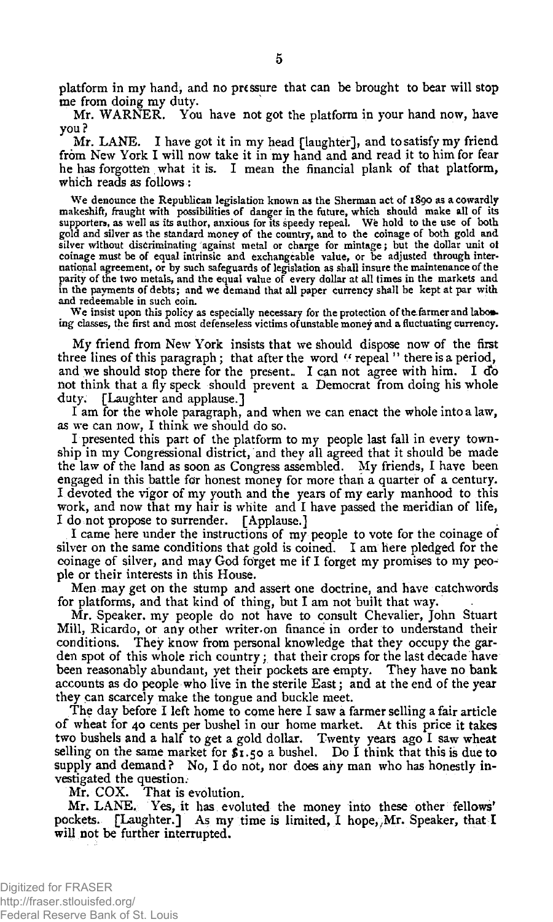platform in my hand, and no pressure that can be brought to bear will stop me from doing my duty.

Mr. WARNER. You have not got the platform in your hand now, have you?

Mr. LANE. I have got it in my head [laughter], and to satisfy my friend from New York I will now take it in my hand and and read it to him for fear he has forgotten what it is. I mean the financial plank of that platform, which reads as follows:

We denounce the Republican legislation known as the Sherman act of 1890 as a cowardly makeshift, fraught with possibilities of danger in the future, which should make all of its supporters, as well as its author, anxious for its speedy repeal. We hold to the use of both gold and silver as the standard money of the country, and to the coinage of both gold and silver without discriminating against metal or charge for mintage; but the dollar unit ot coinage must be of equal intrinsic and exchangeable value, or be adjusted through international agreement, or by such safeguards of legislation as shall insure the maintenance of the parity of the two metals, and the equal value of every dollar at all times in the markets and in the payments of debts; and we demand that all paper currency shall be kept at par with and redeemable in such coin.

We insist upon this policy as especially necessary for the protection of the farmer and laboring classes, the first and most defenseless victims of unstable money and a fluctuating currency.

My friend from New York insists that we should dispose now of the first three lines of this paragraph; that after the word " repeal" there is a period, and we should stop there for the present. I can not agree with him. I do not think that a fly speck should prevent a Democrat from doing his whole duty. [Laughter and applause.]

I am for the whole paragraph, and when we can enact the whole into a law, as we can now, I think we should do so.

I presented this part of the platform to my people last fall in every township in my Congressional district, and they all agreed that it should be made the law of the land as soon as Congress assembled. My friends, I have been engaged in this battle for honest money for more than a quarter of a century. I devoted the vigor of my youth and the years of my early manhood to this work, and now that my hair is white and I have passed the meridian of life, I do not propose to surrender. [Applause.]

I came here under the instructions of my people to vote for the coinage of silver on the same conditions that gold is coined. I am here pledged for the coinage of silver, and may God forget me if I forget my promises to my people or their interests in this House.

Men may get on the stump and assert one doctrine, and have catchwords for platforms, and that kind of thing, but I am not built that way.

Mr. Speaker, my people do not have to consult Chevalier, John Stuart Mill, Ricardo, or any other writer.on finance in order to understand their conditions. They know from personal knowledge that they occupy the garden spot of this whole rich country; that their crops for the last decade have been reasonably abundant, yet their pockets are empty. They have no bank accounts as do people who live in the sterile East; and at the end of the year they can scarcely make the tongue and buckle meet.

The day before I left home to come here I saw a farmer selling a fair article of wheat for 40 cents per bushel in our home market. At this price it takes two bushels and a half to get a gold dollar. Twenty years ago I saw wheat selling on the same market for  $s_1$ , 50 a bushel. Do I think that this is due to supply and demand? No, I do not, nor does any man who has honestly investigated the question.

Mr. COX. That is evolution.

Mr. LANE. Yes, it has evoluted the money into these other fellows' pockets. [Laughter.] As my time is limited, I hope,  $Mr.$  Speaker, that I will not be further interrupted.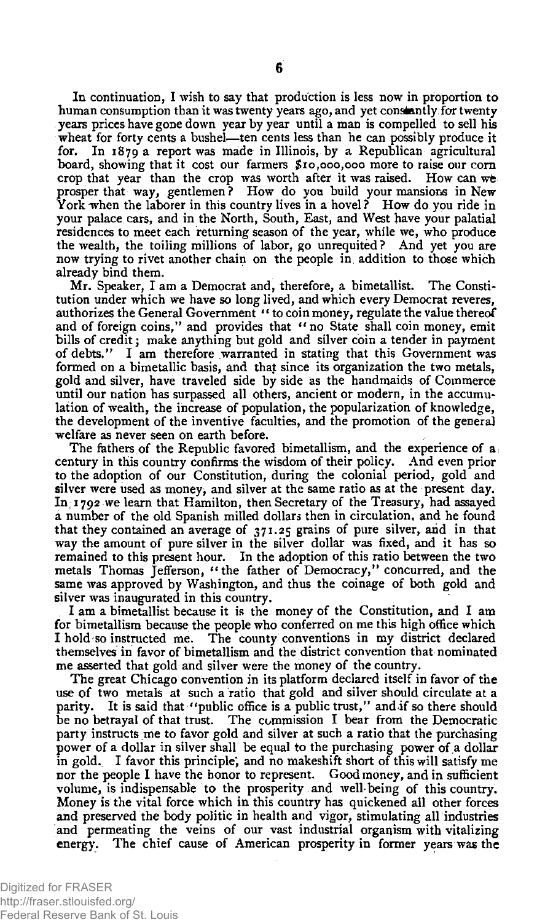In continuation, I wish to say that production is less now in proportion to human consumption than it was twenty years ago, and yet constantly for twenty years prices have gone down year by year until a man is compelled to sell his wheat for forty cents a bushel—ten cents less than he can possibly produce it for. In 1879a report was made in Illinois, by a Republican agricultural board, showing that it cost our farmers \$10,000,000 more to raise our corn crop that year than the crop was worth after it was raised. How can we prosper that way, gentlemen? How do you build your mansions in New York when the laborer in this country lives in a hovel? How do you ride in your palace cars, and in the North, South, East, and West have your palatial residences to meet each returning season of the year, while we, who produce the wealth, the toiling millions of labor, go unrequited ? And yet you are now trying to rivet another chain on the people in addition to those which already bind them.

Mr. Speaker, I am a Democrat and, therefore, a bimetallist. The Constitution under which we have so long lived, and which every Democrat reveres, authorizes the General Government " to coin money, regulate the value thereof and of foreign coins," and provides that "no State shall coin money, emit bills of credit; make anything but gold and silver coin a tender in payment of debts." I am therefore warranted in stating that this Government was formed on a bimetallic basis, and that since its organization the two metals, gold and silver, have traveled side by side as the handmaids of Commerce until our nation has surpassed all others, ancient or modern, in the accumulation of wealth, the increase of population, the popularization of knowledge, the development of the inventive faculties, and the promotion of the general welfare as never seen on earth before.

The fathers of the Republic favored bimetallism, and the experience of a; century in this country confirms the wisdom of their policy. And even prior to the adoption of our Constitution, during the colonial period, gold and silver were used as money, and silver at the same ratio as at the present day. In 1792 we learn that Hamilton, then Secretary of the Treasury, had assayed a number of the old Spanish milled dollars then in circulation, and he found that they contained an average of 371.25 grains of pure silver, and in that way the amount of pure silver in the silver dollar was fixed, and it has so remained to this present hour. In the adoption of this ratio between the two metals Thomas Jefferson, "the father of Democracy," concurred, and the same was approved by Washington, and thus the coinage of both gold and silver was inaugurated in this country.

I am a bimetallist because it is the money of the Constitution, and I am for bimetallism because the people who conferred on me this high office which I hold so instructed me, "Hie **county** conventions in my district declared themselves in favor of bimetallism and the district convention that nominated me asserted that gold and silver were the money of the country.

The great Chicago convention in its platform declared itself in favor of the use of two metals at such a ratio that gold and silver should circulate at a parity. It is said that "public office is a public trust," and if so there should be no betrayal of that trust. The commission I bear from the Democratic party instructs me to favor gold and silver at such a ratio that the purchasing power of a dollar in silver shall be equal to the purchasing power of a dollar in gold. I favor this principle; and no makeshift short of this will satisfy me nor the people I have the honor to represent. Good money, and in sufficient volume, is indispensable to the prosperity and well being of this country. Money is the vital force which in this country has quickened all other forces and preserved the body politic in health and vigor, stimulating all industries and permeating the veins of our vast industrial organism with vitalizing energy. The chief cause of American prosperity in former years was the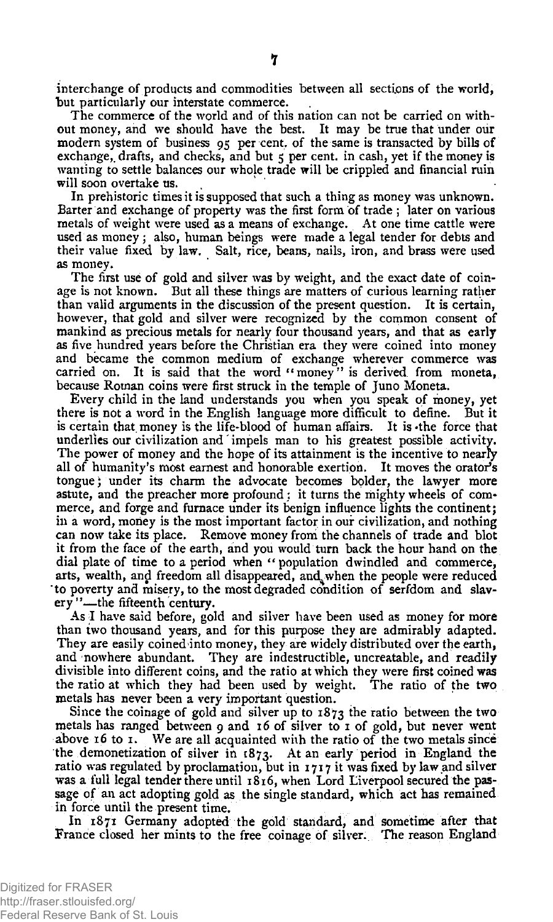interchange of products and commodities between all sections of the world, but particularly our interstate commerce.

The commerce of the world and of this nation can not be carried on without money, and we should have the best. It may be true that under our modern system of business 95 per cent, of the same is transacted by bills of exchange, drafts, and checks, and but 5 per cent. in cash, yet if the money is wanting to settle balances our whole trade will be crippled and financial ruin will soon overtake us.

In prehistoric times it is supposed that such a thing as money was unknown. Barter and exchange of property was the first form of trade ; later on various metals of weight were used as a means of exchange. At one time cattle were used as money; also, human beings were made a legal tender for debts and their value fixed by law. Salt, rice, beans, nails, iron, and brass were used as money.

The first use of gold and silver was by weight, and the exact date of coinage is not known. But all these things are matters of curious learning rather than valid arguments in the discussion of the present question. It is certain, however, that gold and silver were recognized by the common consent of mankind as precious metals for nearly four thousand years, and that as early as five hundred years before the Christian era they were coined into money and became the common medium of exchange wherever commerce was carried on. It is said that the word "money" is derived from moneta, because Roman coins were first struck in the temple of Juno Moneta.

Every child in the land understands you when you speak of money, yet there is not a word in the English language more difficult to define. But it is certain that money is the life-blood of human affairs. It is -the force that underlies our civilization and' impels man to his greatest possible activity. The power of money and the hope of its attainment is the incentive to nearly all of humanity's most earnest and honorable exertion. It moves the orator's tongue) under its charm the advocate becomes bolder, the lawyer more astute, and the preacher more profound ; it turns the mighty wheels of commerce, and forge and furnace under its benign influence lights the continent; in a word, money is the most important factor in our civilization, and nothing can now take its place. Remove money from the channels of trade and blot it from the face of the earth, and you would turn back the hour hand on the dial plate of time to a period when " population dwindled and commerce, arts, wealth, and freedom all disappeared, and when the people were reduced to poverty and misery, to the most degraded condition of serfdom and slavery ''—the fifteenth century.

As I have said before, gold and silver have been used as money for more than two thousand years, and for this purpose they are admirably adapted. They are easily coined into money, they are widely distributed over the earth, and nowhere abundant. They are indestructible, uncreatable, and readily divisible into different coins, and the ratio at which they were first coined was the ratio at which they had been used by weight. The ratio of the two metals has never been a very important question.

Since the coinage of gold and silver up to  $1873$  the ratio between the two metals has ranged between 9 and 16 of silver to 1 of gold, but never went above 16 to 1. We are all acquainted with the ratio of the two metals since the demonetization of silver in  $1873$ . At an early period in England the ratio was regulated by proclamation, but in 1717 it was fixed by **law** and silver was a full legal tender there until 1816, when Lord Liverpool secured the passage of an act adopting gold as the single standard, which act has remained in force until the present time.

In 1871 Germany adopted the gold standard, and sometime after that France closed her mints to the free coinage of silver. The reason England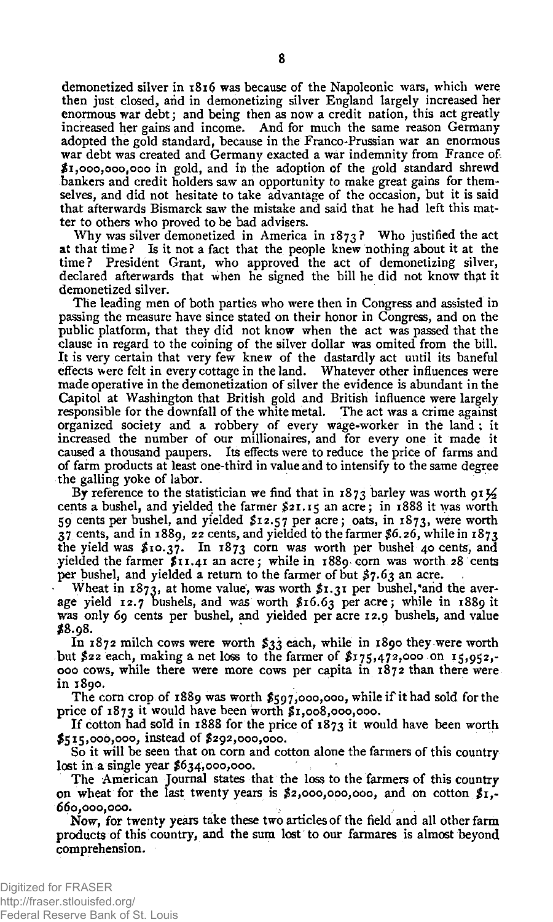demonetized silver in 1816 was because of the Napoleonic wars, which were then just closed, and in demonetizing silver England largely increased her enormous war debt; and being then as now a credit nation, this act greatly increased her gains and income. And for much the same reason Germany adopted the gold standard, because in the Franco-Prussian war an enormous war debt was created and Germany exacted a war indemnity from France of. \$1,000,000,000 in gold, and in the adoption of the gold standard shrewd bankers and credit holders saw an opportunity to make great gains for themselves, and did not hesitate to take advantage of the occasion, but it is said that afterwards Bismarck saw the mistake and said that he had left this matter to others who proved to be bad advisers.

Why was silver demonetized in America in  $1873$ ? Who justified the act at that time? Is it not a fact that the people knew nothing about it at the time? President Grant, who approved the act of demonetizing silver, declared afterwards that when he signed the bill he did not know that it demonetized silver.

The leading men of both parties who were then in Congress and assisted in passing the measure have since stated on their honor in Congress, and on the public platform, that they did not know when the act was passed that the clause in regard to the coining of the silver dollar was omited from the bill. It is very certain that very few knew of the dastardly act until its baneful effects were felt in every cottage in the land. Whatever other influences were made operative in the demonetization of silver the evidence is abundant in the Capitol at Washington that British gold and British influence were largely responsible for the downfall of the white metal. The act was a crime against organized society and a robbery of every wage-worker in the land ; it increased the number of our millionaires, and for every one it made it caused a thousand paupers. Its effects were to reduce the price of farms and of farm products at least one-third in value and to intensify to the same degree the galling yoke of labor.

By reference to the statistician we find that in 1873 barley was worth 91 $\frac{1}{2}$ cents a bushel, and yielded the farmer \$21.15 an acre; in 1888 it was worth 59 cents per bushel, and yielded \$12.57 per acre; oats, in 1873, were worth 37 cents, and in 1889, 22 cents, and yielded to the farmer \$6.26, while in 1873 the yield was  $x_{10}$ ,  $y_{10}$  is  $y_{20}$  corn was worth per bushel 40 cents, and yielded the farmer \$11.41 an acre; while in 1889 corn was worth 28 cents per bushel, and yielded a return to the farmer of but \$7.63 an acre.

Wheat in  $1873$ , at home value, was worth  $x_1, y_1$  per bushel, and the average yield 12.7 bushels, and was worth \$16.63 per acre; while in 1889 it was only 69 cents per bushel, and yielded per acre 12.9 bushels, and value \$8.98.

In 1872 milch cows were worth \$33 each, while in 1890 they were worth but \$22 each, making a net loss to the farmer of \$175,472,000 on 15,952,- 000 cows, while there were more cows per capita in 1872 than there were in 1890.

The corn crop of 1889 was worth \$597,000,000, while if it had sold for the price of 1873 it would have been worth \$1,008,000,000.

If cotton had sold in 1888 for the price of 1873 it would have been worth \$515,000,000, instead of \$292,000,000.

So it will be seen that on corn and cotton alone the farmers of this country lost in a single year \$634,000,000.

The American Journal states that the loss to the farmers of this country on wheat for the last twenty years is  $\sharp$ 2,000,000,000, and on cotton  $\sharp$ 1,-660,000,000.

Now, for twenty years take these two articles of the field and all other farm products of this country, and the sum lost to our farmares is almost beyond comprehension.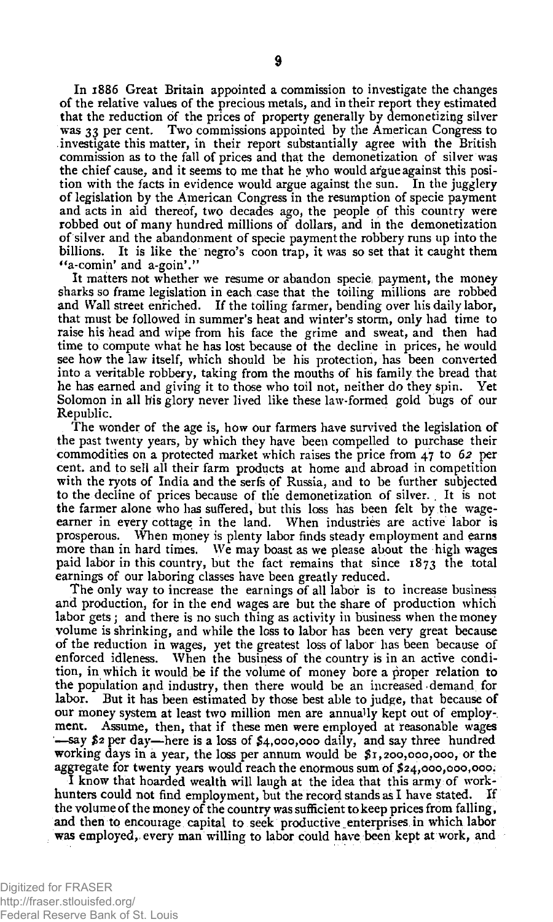In 1886 Great Britain appointed a commission to investigate the changes of the relative values of the precious metals, and in their report they estimated that the reduction of the prices of property generally by demonetizing silver was 33 per cent. Two commissions appointed by the American Congress to investigate this matter, in their report substantially agree with the British commission as to the fall of prices and that the demonetization of silver was the chief cause, and it seems to me that he who would argue against this position with the facts in evidence would argue against the sun. In the jugglery of legislation by the American Congress in the resumption of specie payment and acts in aid thereof, two decades ago, the people of this country were robbed out of many hundred millions of dollars, and in the demonetization of silver and the abandonment of specie payment the robbery runs up into the billions. It is like the negro's coon trap, it was so set that it caught them "a-comin' and  $a$ -goin'."

It matters not whether we resume or abandon specie; payment, the money sharks so frame legislation in each case that the toiling millions are robbed and Wall street enriched. If the toiling farmer, bending over his daily labor, that must be followed in summer's heat and winter's storm, only had time to raise his head and wipe from his face the grime and sweat, and then had time to compute what he has lost because ot the decline in prices, he would see how the law itself, which should be his protection, has been converted into a veritable robbery, taking from the mouths of his family the bread that he has earned and giving it to those who toil not, neither do they spin. Yet Solomon in all his glory never lived like these law-formed gold bugs of our Republic.

The wonder of the age is, how our farmers have survived the legislation of the past twenty years, by which they have been compelled to purchase their commodities on a protected market which raises the price from 47 to *62* per cent, and to sell all their farm products at home and abroad in competition with the ryots of India and the serfs of Russia, and to be further subjected to the decline of prices because of the demonetization of silver. . It is not the farmer alone who has suffered, but this loss has been felt by the wageearner in every cottage in the land. When industries are active labor is prosperous. When money is plenty labor finds steady employment and earns more than in hard times. We may boast as we please about the high wages paid labor in this country, but the fact remains that since  $1873$  the total earnings of our laboring classes have been greatly reduced.

The only way to increase the earnings of all labor is to increase business and production, for in the end wages are but the share of production which labor gets; and there is no such thing as activity in business when the money volume is shrinking, and while the loss to labor has been very great because of the reduction in wages, yet the greatest loss of labor has been because of enforced idleness. When the business of the country is in an active condition, in which it would be if the volume of money bore a proper relation to the population apd industry, then there would be an increased demand, for labor. But it has been estimated by those best able to judge, that because of our money system at least two million men are annually kept out of employment. Assume, then, that if these men were employed at reasonable wages —say *\$2* per day—here is a loss of £4,000,000 daily, and say three hundred working days in a year, the loss per annum would be *\$r,*200,000,000, or the aggregate for twenty years would reach the enormous sum of \$24,000,000,000.

I know that hoarded wealth will laugh at the idea that this army of workhunters could not find employment, but the record stands as I have stated. If the volume of the money of the country was sufficient to keep prices from falling, and then to encourage capital to seek productive enterprises in which labor was employed, every man willing to labor could have been kept at work, and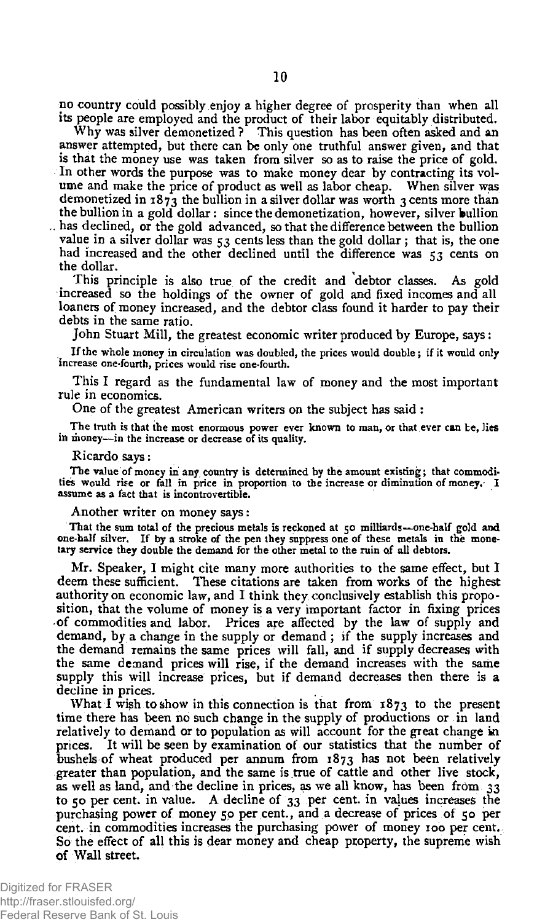no country could possibly enjoy a higher degree of prosperity than when all its people are employed and the product of their labor equitably distributed.

Why was silver demonetized ? This question has been often asked and an answer attempted, but there can be only one truthful answer given, and that is that the money use was taken from silver so as to raise the price of gold. In other words the purpose was to make money dear by contracting its volume and make the price of product as well as labor cheap. When silver was demonetized in  $1873$  the bullion in a silver dollar was worth 3 cents more than the bullion in a gold dollar: since the demonetization, however, silver bullion . has declined, or the gold advanced, so that the difference between the bullion value in a silver dollar was  $53$  cents less than the gold dollar; that is, the one had increased and the other declined until the difference was 53 cents on the dollar.

This principle is also true of the credit and debtor classes. As gold increased so the holdings of the owner of gold and fixed incomes and all loaners of money increased, and the debtor class found it harder to pay their debts in the same ratio.

John Stuart Mill, the greatest economic writer produced by Europe, says:

If the whole money in circulation was doubled, the prices would double; if it would only increase one-fourth, prices would rise one-fourth.

This I regard as the fundamental law of money and the most important rule in economics.

One of the greatest American writers on the subject has said :

The truth is that the most enormous power ever known to man, or that ever can be, lies in money—in the increase or decrease of its quality.

#### Ricardo says:

The value of money in any country is determined by the amount existing; that commodities would rise or fall in price in proportion to the increase or diminution of money. I assume as a fact that is incontrovertible.

Another writer on money says:

That the sum total of the precious metals is reckoned at 50 milliards—one-half gold and one-half silver. If by a stroke of the pen they suppress one of these metals in the monetary service they double the demand for the other metal to the ruin of all debtors.

Mr. Speaker, I might cite many more authorities to the same effect, but I deem these sufficient. These citations are taken from works of the highest authority on economic law, and I think they conclusively establish this proposition, that the volume of money is a very important factor in fixing prices of commodities and labor. Prices are affected by the law of supply and demand, by a change in the supply or demand; if the supply increases and the demand remains the same prices will fall, and if supply decreases with the same demand prices will rise, if the demand increases with the same supply this will increase prices, but if demand decreases then there is a decline in prices.

What I wish to show in this connection is that from 1873 to the present time there has been no such change in the supply of productions or in land relatively to demand or to population as will account for the great change in prices. It will be seen by examination of our statistics that the number of bushels of wheat produced per annum from 1873 has not been relatively greater than population, and the same is true of cattle and other live stock, as well as land, and the decline in prices, as we all know, has been from 33 to 50 per cent. in value. A decline of 33 per cent. in values increases the purchasing power of money 50 per cent., and a decrease of prices of 50 per cent, in commodities increases the purchasing power of money 100 per cent. So the effect of all this is dear money and cheap property, the supreme wish of Wall street.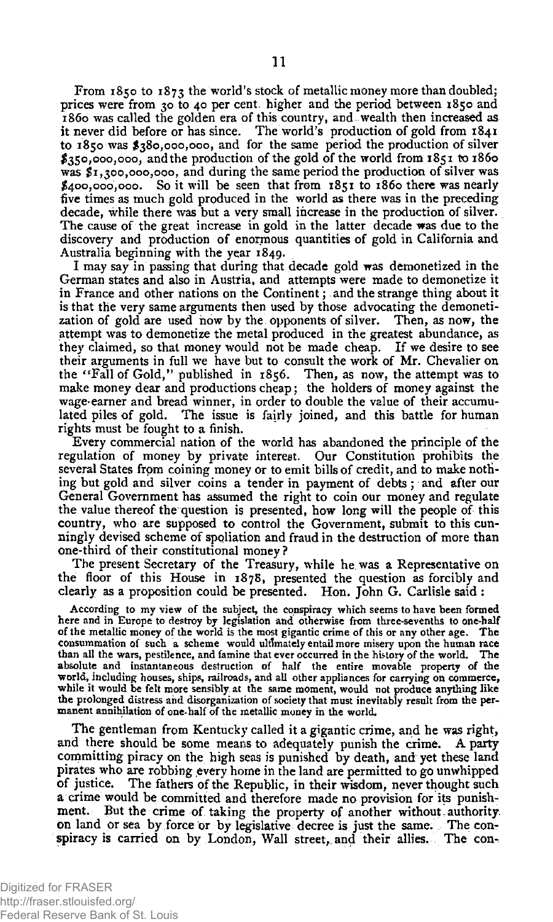From 1850 to 1873 the world's stock of metallic money more than doubled; prices were from 30 to 40 per cent, higher and the period between 1850 and 1860 was called the golden era of this country, and wealth then increased as it never did before or has since. The world's production of gold from 1841 to 1850 was \$380,000,000, and for the same period the production of silver  $$350,000,000,$  and the production of the gold of the world from  $1851$  to  $1860$ was \$1,300,000,000, and during the same period the production of silver was \$400,000,000. So it will be seen that from 1851 to 1860 there was nearly five times as much gold produced in the world as there was in the preceding decade, while there was but a very small increase in the production of silver. The cause of the great increase in gold in the latter decade was due to the discovery and production of enormous quantities of gold in California and Australia beginning with the year 1849.

I may say in passing that during that decade gold was demonetized in the German states and also in Austria, and attempts were made to demonetize it in France and other nations on the Continent; and the strange thing about it is that the very same arguments then used by those advocating the demonetization of gold are used how by the opponents of silver. Then, as now, the attempt was to demonetize the metal produced in the greatest abundance, as they claimed, so that money would not be made cheap. If we desire to see their arguments in full we have but to consult the work of Mr. Chevalier on the "Fall of Gold, " published in 1856. Then, as now, the attempt was to make money dear and productions cheap; the holders of money against the wage-earner and bread winner, in order to double the value of their accumu-<br>lated piles of gold. The issue is fairly joined, and this battle for human The issue is fairly joined, and this battle for human rights must be fought to a finish.

Every commercial nation of the world has abandoned the principle of the regulation of money by private interest. Our Constitution prohibits the several States from coining money or to emit bills of credit, and to make nothing but gold and silver coins a tender in payment of debts; and after our General Government has assumed the right to coin our money and regulate the value thereof the question is presented, how long will the people of this country, who are supposed to control the Government, submit to this cunningly devised scheme of spoliation and fraud in the destruction of more than one-third of their constitutional money?

The present Secretary of the Treasury, while he. was a Representative on the floor of this House in 1878, presented the question as forcibly and clearly as a proposition could be presented. Hon. John G. Carlisle said :

According to my view of the subject, the conspiracy which seems to have been formed here and in Europe to destroy by legislation and otherwise from three-sevenths to one-half of the metallic money of the world is the most gigantic crime of this or any other age. The consummation of such a scheme would ultimately entail more misery upon the human race than all the wars, pestilence, and famine that ever occurred in the history of the world. The absolute and instantaneous destruction of half the entire movable property of the world, including houses, ships, railroads, and all other appliances for carrying on commerce, while it would be felt more sensibly at the same moment, would not produce anything like the prolonged distress and disorganization of society that must inevitably result from the permanent annihilation of one-half of the metallic money in the world.

The gentleman from Kentucky called it a gigantic crime, and he was right, and there should be some means to adequately punish the crime. A party committing piracy on the high seas is punished by death, and yet these land pirates who are robbing every home in the land are permitted to go unwhipped of justice. The fathers of the Republic, in their wisdom, never thought such a crime would be committed and therefore made no provision for its punishment. But the crime of taking the property of another without authority on land or sea by force or by legislative decree is just the same. The conspiracy is carried on by London, Wall street, and their allies. The con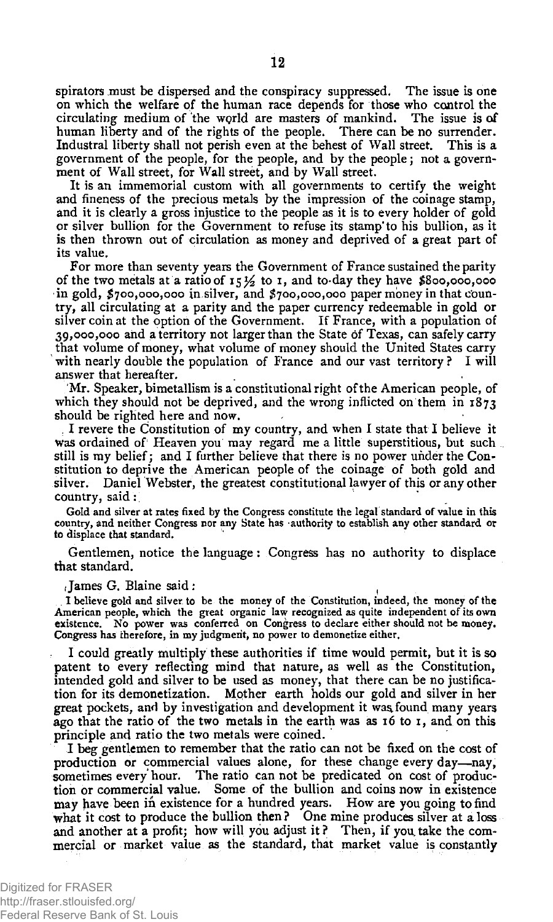spirators must be dispersed and the conspiracy suppressed. The issue is one on which the welfare of the human race depends for those who control the circulating medium of the world are masters of mankind. The issue is of human liberty and of the rights of the people. There can be no surrender. Industral liberty shall not perish even at the behest of Wall street. This is a government of the people, for the people, and by the people ; not a government of Wall street, for Wall street, and by Wall street.

It is an immemorial custom with all governments to certify the weight and fineness of the precious metals by the impression of the coinage stamp, and it is clearly a gross injustice to the people as it is to every holder of gold or silver bullion for the Government to refuse its stamp'to his bullion, as it is then thrown out of circulation as money and deprived of a great part of its value.

For more than seventy years the Government of France sustained the parity of the two metals at a ratio of  $15 \frac{1}{2}$  to 1, and to-day they have \$800,000,000 in gold, \$700,000,000 in.silver, and \$700,000,000 paper money in that country, all circulating at a parity and the paper currency redeemable in gold or silver coin at the option of the Government. If France, with a population of 39,000,000 and a territory not larger than the State of Texas, can safely carry that volume of money, what volume of money should the United States carry with nearly double the population of France and our vast territory? I will answer that hereafter.

Mr. Speaker, bimetallism is a constitutional right of the American people, of which they should not be deprived, and the wrong inflicted on them in  $1873$ should be righted here and now.

, I revere the Constitution of my country, and when I state that I believe it was ordained of' Heaven you may regard me a little superstitious, but such still is my belief; and I further believe that there is no power under the Constitution to deprive the American people of the coinage of both gold and silver. Daniel Webster, the greatest constitutional lawyer of this or any other country, said :

Gold and silver at rates fixed by the Congress constitute the legal standard of value in this country, and neither Congress nor any State has -authority to establish any other standard or to displace that standard.

Gentlemen, notice the language: Congress has no authority to displace that standard.

 $I$ ames G. Blaine said :

. I believe gold and silver, to be the money of the Constitution, indeed, the money of the American people, which the great organic law recognized as quite independent of its own existence. No power was conferred on Congress to declare either should not be money. Congress has therefore, in my judgment, no power to demonetize either.

I could greatly multiply these authorities if time would permit, but it is so patent to every reflecting mind that nature, as well as the Constitution, intended gold and silver to be used as money, that there can be no justification for its demonetization. Mother earth holds our gold and silver in her great pockets, and by investigation and development it waa found many years ago that the ratio of the two metals in the earth was as 16 to 1, and on this principle and ratio the two metals were coined.

I beg gentlemen to remember that the ratio can not be fixed on the cost of production or commercial values alone, for these change every day—nay, sometimes every hour. The ratio can not be predicated on cost of production or commercial value. Some of the bullion and coins now in existence may have been in existence for a hundred years. How are you going to find what it cost to produce the bullion then? One mine produces silver at a loss and another at a profit; how wilt you adjust it ? Then, if you, take the commercial or market value as the standard, that market value is constantly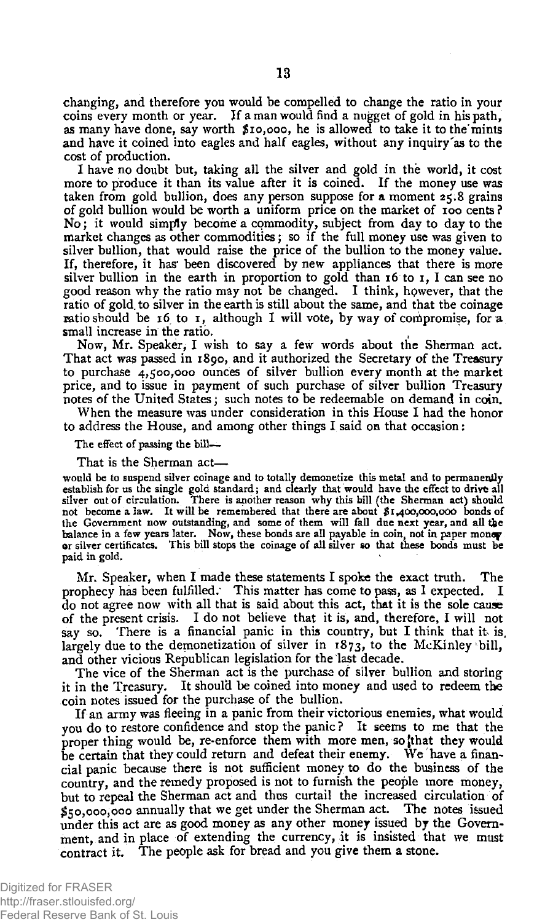changing, and therefore yon would be compelled to change the ratio in your coins every month or year. If a man would find a nugget of gold in his path, as many have done, say worth \$10,000, he is allowed to take it tothe'mints and have it coined into eagles and half eagles, without any inquiry'as to the cost of production.

I have no doubt but, taking all the silver and gold in the world, it cost more to produce it than its value after it is coined. If the money use was taken from gold bullion, does any person suppose for a moment 25.8 grains of gold bullion would be worth a uniform price on the market of 100 cents ? No; it would simply become a commodity, subject from day to day to the market changes as other commodities; so if the full money use was given to silver bullion, that would raise the price of the bullion to the money value. If, therefore, it has' been discovered by new appliances that there is more silver bullion in the earth in proportion to gold than 16 to 1, I can see no good reason why the ratio may not be changed. I think, hpwever, that the ratio of gold, to silver in the earth is still about the same, and that the coinage ratio should be 16 to 1, although I will vote, by way of compromise, for a small increase in the ratio.

Now, Mr. Speaker, I wish to say a few words about the Sherman act. That act was passed in 1890, and it authorized the Secretary of the Treasury to purchase 4,500,000 ounces of silver bullion every month at the market price, and to issue in payment of such purchase of silver bullion Treasury notes of the United States; such notes to be redeemable on demand in coin.

When the measure was under consideration in this House I had the honor to address the House, and among other things I said on that occasion:

The effect of passing the bill-

That is the Sherman act—

would be to suspend silver coinage and to totally demonetize this metal and to permanently establish for us the single gold standard; and clearly that would have the effect to drive all silver out of circulation. There is another reason why this bill (the Sherman act) should not become a law. It will be remembered that there are about \$1,400,000,000 bonds of the Government now outstanding, and some of them will fall due next year, and all the balance in a few years later. Now, these bonds are all payable in coin, not in paper money or silver certificates. This bill stops the c paid in gold.

Mr. Speaker, when I made these statements I spoke the exact truth. The prophecy has been fulfilled. This matter has come to pass, as I expected. I do not agree now with all that is said about this act, that it is the sole cause of the present crisis. I do not believe that it is, and, therefore, I will not say so. There is a financial panic in this country, but I think that it is, **largely** due to the demonetization of silver in 1873, to the McKinley **bill,**  and other vicious Republican legislation for the last decade.

The vice of the Sherman act is the purchase of silver bullion and storing it in the Treasury. It should be coined into money and used to redeem the coin notes issued for the purchase of the bullion.

If an army was fleeing in a panic from their victorious enemies, what would you do to restore confidence and stop the panic? It seems to me that the proper thing would be, re-enforce them with more men, so that they would be certain that they could return and defeat their enemy. We have a financial panic because there is not sufficient money to do the business of the country, and the remedy proposed is not to furnish the people more money, but to repeal the Sherman act and thus curtail the increased circulation of \$50,000,000 annually that we get under the Sherman act. The notes issued under this act are as good money as any other money issued by the Government, and in place of extending the currency, it is insisted that we must contract it. The people ask for bread and you give them a stone.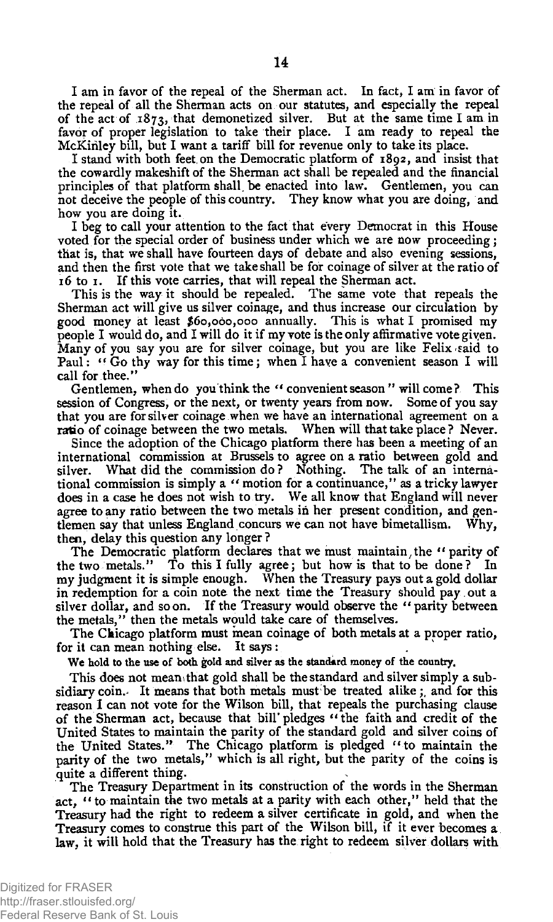I am in favor of the repeal of the Sherman act. In fact, I am in favor of the repeal of all the Sherman acts on our statutes, and especially the repeal of the act of 1873, that demonetized silver. But at the same time I am in favor of proper legislation to take their place. I am ready to repeal the McKiriley bill, but I want a tariff bill for revenue only to take its place.

I stand with both feet,on the Democratic platform of 1892, and insist that the cowardly makeshift of the Sherman act shall be repealed and the financial principles of that platform shall be enacted into law. Gentlemen, you can not deceive the people of this country. They know what you are doing, and how you are doing it.

I beg to call your attention to the fact that every Democrat in this House voted for the special order of business under which we are now proceeding; that is, that we shall have fourteen days of debate and also evening sessions, and then the first vote that we take shall be for coinage of silver at the ratio of 16 to 1. If this vote carries, that will repeal the Sherman act.

This is the way it should be repealed. The same vote that repeals the Sherman act will give us silver coinage, and thus increase our circulation by good money at least #60,000,000 annually. This is what I promised my people I would do, and I will do it if my vote is the only affirmative vote giyen. Many of you say you are for silver coinage, but you are like Felix said to Paul: "Go thy way for this time; when I have a convenient season I will call for thee."

Gentlemen, when do you think the " convenient season " will come ? This session of Congress, or the next, or twenty years from now. Some of you say that you are for silver coinage when we have an international agreement on a ratio of coinage between the two metals. When will that take place ? Never.

Since the adoption of the Chicago platform there has been a meeting of an international commission at Brussels to agree on a ratio between gold and silver. What did the commission do ? Nothing. The talk of an international commission is simply a " motion for a continuance/' as a tricky lawyer does in a case he does not wish to try. We all know that England will never agree to any ratio between the two metals in her present condition, and gentlemen say that unless England concurs we can not have bimetallism. Why, then, delay this question any longer ?

The Democratic platform declares that we must maintain, the " parity of the two metals." To this I fully agree; but how is that to be done? In my judgment it is simple enough. When the Treasury pays out a gold dollar in redemption for a coin note the next time the Treasury should pay out a silver dollar, and so on. If the Treasury would observe the " parity between the metals," then the metals would take care of themselves.

The Chicago platform must mean coinage of both metals at a proper ratio, for it can mean nothing else. It says : \*

We hold to the use of both gold and silver as the standard money of the country.

This does not mean that gold shall be the standard and silver simply a subsidiary coin.- It means that both metals must be treated alike; and for this reason I can not vote for the Wilson bill, that repeals the purchasing clause of the Sherman act, because that bill pledges "the faith and credit of the United States to maintain the parity of the standard gold and silver coins of the United States." The Chicago platform is pledged " to maintain the parity of the two metals," which is all right, but the parity of the coins is quite a different thing.

The Treasury Department in its construction of the words in the Sherman act, " to maintain the two metals at a parity with each other," held that the **Treasury** had the right to redeem a silver certificate in gold, and when the Treasury comes to construe this part of the Wilson bill, if it ever becomes a law, it will hold that the Treasury has the right to redeem silver dollars with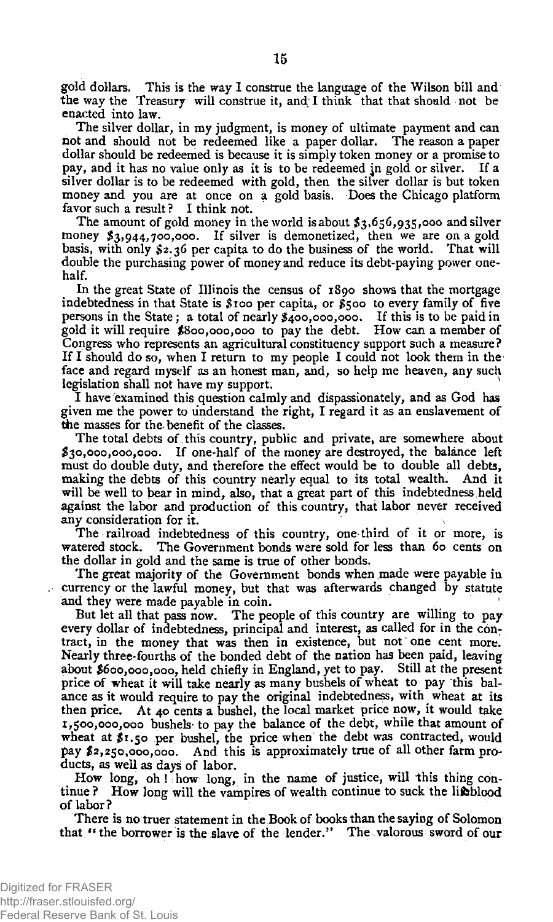gold dollars. This is the way I construe the language of the Wilson bill and the way the Treasury will construe it, and I think that that should not be enacted into law.

The silver dollar, in my judgment, is money of ultimate payment and can not and should not be redeemed like a paper dollar. The reason a paper dollar should be redeemed is because it is simply token money or a promise to pay, and it has no value only as it is to be redeemed jn gold or silver. If a silver dollar is to be redeemed with gold, then the silver dollar is but token money and you are at once on a gold basis. Does the Chicago platform favor such a result? I think not.

The amount of gold money in the world is about \$3,656,935,000 and silver money \$3,944,700,000. If silver is demonetized, then we are on a gold basis, with only \$2.36 per capita to do the business of the world. That will double the purchasing power of money and reduce its debt-paying power onehalf.

In the great State of Illinois the census of 1890 shows that the mortgage indebtedness in that State is \$100 per capita, or \$500 to every family of five persons in the State; a total of nearly \$400,000,000. If this is to be paid in gold it will require \$800,000,000 to pay the debt. How can a member of Congress who represents an agricultural constituency support such a measure? If I should do so, when I return to my people I could not look them in the face and regard myself as an honest man, and, so help me heaven, any such legislation shall not have my support. No. 1996. In the same of the same of the same of the same of the same of the same of the same of the same of t<br>In the same of the same of the same of the same of the same of the same of the same of the same of the same of

I have examined this question calmly and dispassionately, and as God has given me the power to understand the right, I regard it as an enslavement of the masses for the-benefit of the classes.

The total debts of this country, public and private, are somewhere about \$30,000,000,000. If one-half of the money are destroyed, the balance left must do double duty, and therefore the effect would be to double all debts, making the debts of this country nearly equal to its total wealth. And it will be well to bear in mind, also, that a great part of this indebtedness held against the labor and production of this country, that labor never received any consideration for it.

The railroad indebtedness of this country, one third of it or more, is watered stock. The Government bonds were sold for less than 60 cents on the dollar in gold and the same is true of other bonds.

The great majority of the Government bonds when made were payable in currency or the lawful money, but that was afterwards changed by statute and they were made payable in coin.

But let all that pass now. The people of this country are willing to pay every dollar of indebtedness, principal and interest, as called for in the contract, in the money that was then in existence, but not one cent more. Nearly three-fourths of the bonded debt of the nation has been paid, leaving about \$600,000,000, held chiefly in England, yet to pay. Still at the present price of wheat it will take nearly as many bushels of wheat to pay this balance as it would require to pay the original indebtedness, with wheat at its then price. At 40 cents a bushel, the local market price now, it would take 1,500,000,000 bushels to pay the balance of the debt, while that amount of wheat at \$1.50 per bushel, the price when the debt was contracted, would pay \$2,250,000,000. And this is approximately true of all other farm products, as well as days of labor.

How long, oh! how long, in the name of justice, will this thing continue ? How long will the vampires of wealth continue to suck the lifeblood of labor?

There is no truer statement in the Book of books than the saying of Solomon that " the borrower is the slave of the lender." The valorous sword of our